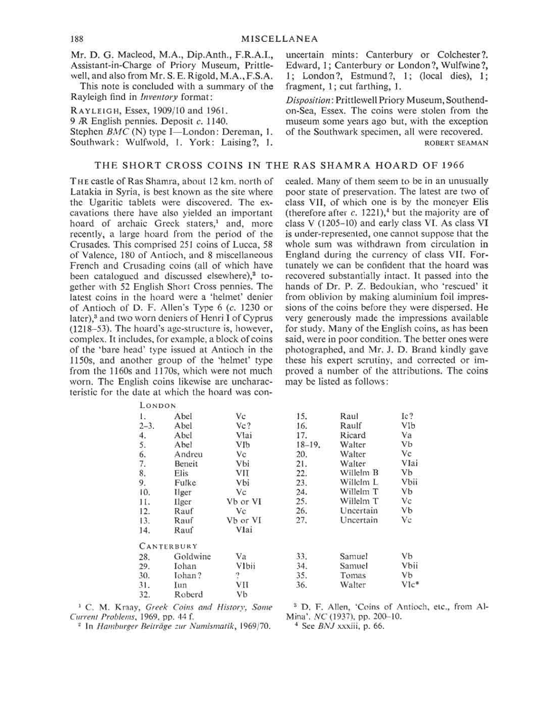Mr. D. G. Macleod, M.A., Dip.Anth., F.R.A.I., Assistant-in-Charge of Priory Museum, Prittlewell, and also from Mr. S. E. Rigold, M.A., F.S.A.

This note is concluded with a summary of the Rayleigh find in *Inventory* format:

**R**AYLEIGH, Essex, 1909/10 and 1961.

9 *R* English pennies. Deposit c. 1140.

Stephen *BMC* (N) type I—London: Dereman, 1. Southwark: Wulfwold, 1. York: Laising?, 1.

## THE SHORT CROSS COINS IN THE RAS SHAMRA HOARD OF 1966

**T**HE castle of Ras Shamra, about 12 km. north of Latakia in Syria, is best known as the site where the Ugaritic tablets were discovered. The excavations there have also yielded an important hoard of archaic Greek staters,<sup>1</sup> and, more recently, a large hoard from the period of the Crusades. This comprised 251 coins of Lucca, 58 of Valence, 180 of Antioch, and 8 miscellaneous French and Crusading coins (all of which have been catalogued and discussed elsewhere)<sup>2</sup> together with 52 English Short Cross pennies. The latest coins in the hoard were a 'helmet' denier of Antioch of **D.** F. Allen's Type 6 (c. 1230 or later),<sup>3</sup> and two worn deniers of Henri I of Cyprus (1218-53). The hoard's age-structure is, however, complex. It includes, for example, a block of coins of the 'bare head' type issued at Antioch in the 1150s, and another group of the 'helmet' type from the 1160s and 1170s, which were not much worn. The English coins likewise are uncharacteristic for the date at which the hoard was con-

LONDO N

cealed. Many of them seem to be in an unusually poor state of preservation. The latest are two of class VII, of which one is by the moneyer Elis (therefore after  $c$ , 1221),<sup> $\iota$ </sup> but the majority are of class V (1205-10) and early class VI. As class VI is under-represented, one cannot suppose that the whole sum was withdrawn from circulation in England during the currency of class VII. Fortunately we can be confident that the hoard was recovered substantially intact. It passed into the hands of Dr. P. Z. Bedoukian, who 'rescued' it from oblivion by making aluminium foil impressions of the coins before they were dispersed. He very generously made the impressions available for study. Many of the English coins, as has been said, were in poor condition. The better ones were photographed, and Mr. J. D. Brand kindly gave these his expert scrutiny, and corrected or improved a number of the attributions. The coins may be listed as follows:

uncertain mints: Canterbury or Colchester ?. Edward, 1; Canterbury or London ?, Wulfwine ?, 1; London ?, Estmund ?, 1; (local dies), 1;

*Disposition*: Prittlewell Priory Museum, Southendon-Sea, Essex. The coins were stolen from the museum some years ago but, with the exception

fragment, 1; cut farthing, 1.

| Abel              | Vc         | 15.         | Raul      | Ic?                  |
|-------------------|------------|-------------|-----------|----------------------|
| Abel              | $Vc$ ?     | 16.         | Raulf     | VIb                  |
| Abel              | Vlai       | 17.         | Ricard    | Va                   |
| Abel              | <b>VIb</b> | $18 - 19$ . | Walter    | <b>Vb</b>            |
| Andreu            | Vc         | 20.         | Walter    | Vc                   |
| Beneit            | Vbi        | 21.         | Walter    | Vlai                 |
| Elis:             | VII        | 22.         | Willelm B | Vb                   |
| Fulke             | Vbi        | 23.         | Willelm L | <b>Vbii</b>          |
| Ilger             | Vc         | 24.         | Willelm T | <b>Vb</b>            |
| Ilger             | Vb or VI   | 25.         | Willelm T | Vc                   |
| Rauf              | Vc.        | 26.         | Uncertain | <b>Vb</b>            |
| Rauf              | Vb or VI   | 27.         | Uncertain | Vc                   |
| Rauf              | Vlai       |             |           |                      |
| <b>CANTERBURY</b> |            |             |           |                      |
| Goldwine          | Va         | 33.         | Samuel    | <b>V<sub>b</sub></b> |
| Iohan             | Vlbii      | 34.         | Samuel    | Vbii                 |
| Iohan?            | 2          | 35.         | Tomas     | Vb                   |
| Iun               | VII        | 36.         | Walter    | $V1c*$               |
| Roberd            | <b>Vb</b>  |             |           |                      |
|                   |            |             |           |                      |

**1 C.** M. Kraay, *Greek Coins and History, Some Current Problems,* 1969, pp. 44 f.

8 D. F. Allen, 'Coins of Antioch, etc., from Al-Mina\*. *NC* (1937), pp. 200-10. **<sup>4</sup>**

In *Hamburger Beitrage zur Numismatik,* 1969/70.

 **See** *BNJ* xxxiii, p. 66.

of the Southwark specimen, all were recovered.

ROBERT SEAMAN